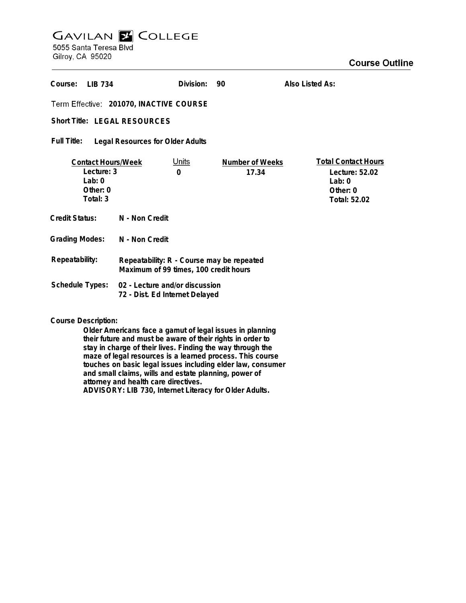## **GAVILAN Z COLLEGE** 5055 Santa Teresa Blvd

Gilroy, CA 95020

| Course:<br><b>IIB 734</b>                                                    |                                                                                    | Division:         | 90                       | Also Listed As:                                                                     |
|------------------------------------------------------------------------------|------------------------------------------------------------------------------------|-------------------|--------------------------|-------------------------------------------------------------------------------------|
| Term Effective: 201070, INACTIVE COURSE                                      |                                                                                    |                   |                          |                                                                                     |
| Short Title: LEGAL RESOURCES                                                 |                                                                                    |                   |                          |                                                                                     |
| <b>Full Title:</b><br><b>Legal Resources for Older Adults</b>                |                                                                                    |                   |                          |                                                                                     |
| <b>Contact Hours/Week</b><br>Lecture: 3<br>$1$ ab: 0<br>Other: 0<br>Total: 3 |                                                                                    | <u>Units</u><br>0 | Number of Weeks<br>17.34 | <b>Total Contact Hours</b><br>Lecture: 52.02<br>Lab:0<br>Other: $0$<br>Total: 52.02 |
| Credit Status:                                                               | N - Non Credit                                                                     |                   |                          |                                                                                     |
| <b>Grading Modes:</b>                                                        | N - Non Credit                                                                     |                   |                          |                                                                                     |
| Repeatability:                                                               | Repeatability: R - Course may be repeated<br>Maximum of 99 times, 100 credit hours |                   |                          |                                                                                     |
| Schedule Types:                                                              | 02 - Lecture and/or discussion<br>72 - Dist. Ed Internet Delayed                   |                   |                          |                                                                                     |

**Course Description:**

**Older Americans face a gamut of legal issues in planning their future and must be aware of their rights in order to stay in charge of their lives. Finding the way through the maze of legal resources is a learned process. This course touches on basic legal issues including elder law, consumer and small claims, wills and estate planning, power of attorney and health care directives. ADVISORY: LIB 730, Internet Literacy for Older Adults.**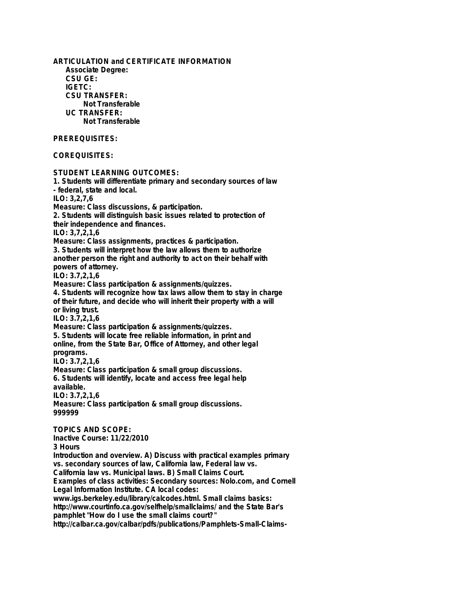**ARTICULATION and CERTIFICATE INFORMATION Associate Degree: CSU GE: IGETC: CSU TRANSFER: Not Transferable UC TRANSFER: Not Transferable PREREQUISITES: COREQUISITES: STUDENT LEARNING OUTCOMES: 1. Students will differentiate primary and secondary sources of law - federal, state and local. ILO: 3,2,7,6 Measure: Class discussions, & participation. 2. Students will distinguish basic issues related to protection of their independence and finances. ILO: 3,7,2,1,6 Measure: Class assignments, practices & participation. 3. Students will interpret how the law allows them to authorize another person the right and authority to act on their behalf with powers of attorney. ILO: 3.7,2,1,6 Measure: Class participation & assignments/quizzes. 4. Students will recognize how tax laws allow them to stay in charge of their future, and decide who will inherit their property with a will or living trust. ILO: 3.7,2,1,6 Measure: Class participation & assignments/quizzes. 5. Students will locate free reliable information, in print and online, from the State Bar, Office of Attorney, and other legal programs. ILO: 3.7,2,1,6 Measure: Class participation & small group discussions. 6. Students will identify, locate and access free legal help available. ILO: 3.7,2,1,6 Measure: Class participation & small group discussions. 999999 TOPICS AND SCOPE: Inactive Course: 11/22/2010 3 Hours Introduction and overview. A) Discuss with practical examples primary vs. secondary sources of law, California law, Federal law vs. California law vs. Municipal laws. B) Small Claims Court. Examples of class activities: Secondary sources: Nolo.com, and Cornell Legal Information Institute. CA local codes: www.igs.berkeley.edu/library/calcodes.html. Small claims basics: http://www.courtinfo.ca.gov/selfhelp/smallclaims/ and the State Bar's pamphlet "How do I use the small claims court?"**

**http://calbar.ca.gov/calbar/pdfs/publications/Pamphlets-Small-Claims-**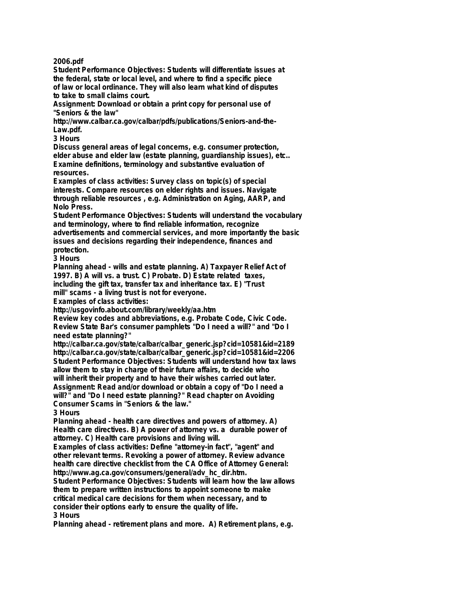**2006.pdf**

**Student Performance Objectives: Students will differentiate issues at the federal, state or local level, and where to find a specific piece of law or local ordinance. They will also learn what kind of disputes to take to small claims court.**

**Assignment: Download or obtain a print copy for personal use of "Seniors & the law"**

**http://www.calbar.ca.gov/calbar/pdfs/publications/Seniors-and-the-Law.pdf.**

**3 Hours**

**Discuss general areas of legal concerns, e.g. consumer protection, elder abuse and elder law (estate planning, guardianship issues), etc.. Examine definitions, terminology and substantive evaluation of resources.**

**Examples of class activities: Survey class on topic(s) of special interests. Compare resources on elder rights and issues. Navigate through reliable resources , e.g. Administration on Aging, AARP, and Nolo Press.**

**Student Performance Objectives: Students will understand the vocabulary and terminology, where to find reliable information, recognize**

**advertisements and commercial services, and more importantly the basic issues and decisions regarding their independence, finances and protection.**

**3 Hours**

**Planning ahead - wills and estate planning. A) Taxpayer Relief Act of 1997. B) A will vs. a trust. C) Probate. D) Estate related taxes,**

**including the gift tax, transfer tax and inheritance tax. E) "Trust**

**mill" scams - a living trust is not for everyone.**

**Examples of class activities:**

**http://usgovinfo.about.com/library/weekly/aa.htm**

**Review key codes and abbreviations, e.g. Probate Code, Civic Code. Review State Bar's consumer pamphlets "Do I need a will?" and "Do I need estate planning?"**

**http://calbar.ca.gov/state/calbar/calbar\_generic.jsp?cid=10581&id=2189 http://calbar.ca.gov/state/calbar/calbar\_generic.jsp?cid=10581&id=2206 Student Performance Objectives: Students will understand how tax laws allow them to stay in charge of their future affairs, to decide who will inherit their property and to have their wishes carried out later. Assignment: Read and/or download or obtain a copy of "Do I need a**

**will?" and "Do I need estate planning?" Read chapter on Avoiding Consumer Scams in "Seniors & the law."**

**3 Hours**

**Planning ahead - health care directives and powers of attorney. A) Health care directives. B) A power of attorney vs. a durable power of attorney. C) Health care provisions and living will.**

**Examples of class activities: Define "attorney-in fact", "agent" and other relevant terms. Revoking a power of attorney. Review advance health care directive checklist from the CA Office of Attorney General: http://www.ag.ca.gov/consumers/general/adv\_hc\_dir.htm.**

**Student Performance Objectives: Students will learn how the law allows them to prepare written instructions to appoint someone to make critical medical care decisions for them when necessary, and to consider their options early to ensure the quality of life. 3 Hours**

**Planning ahead - retirement plans and more. A) Retirement plans, e.g.**